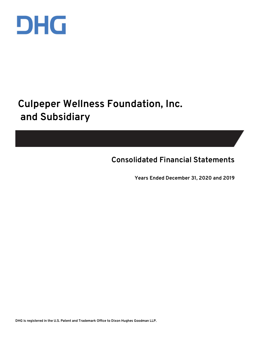

# **Culpeper Wellness Foundation, Inc. and Subsidiary**

**Consolidated Financial Statements**

**Years Ended December 31, 2020 and 2019**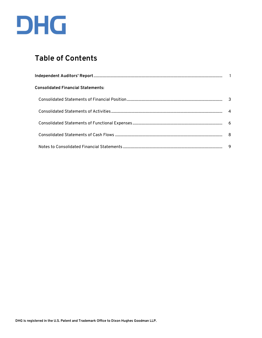

# **Table of Contents**

| <b>Consolidated Financial Statements:</b> |   |
|-------------------------------------------|---|
|                                           | 3 |
|                                           |   |
|                                           |   |
|                                           |   |
|                                           | 9 |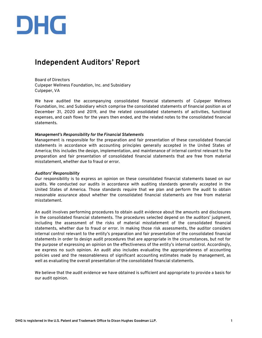

# **Independent Auditors' Report**

Board of Directors Culpeper Wellness Foundation, Inc. and Subsidiary Culpeper, VA

We have audited the accompanying consolidated financial statements of Culpeper Wellness Foundation, Inc. and Subsidiary which comprise the consolidated statements of financial position as of December 31, 2020 and 2019, and the related consolidated statements of activities, functional expenses, and cash flows for the years then ended, and the related notes to the consolidated financial statements.

#### *Management's Responsibility for the Financial Statements*

Management is responsible for the preparation and fair presentation of these consolidated financial statements in accordance with accounting principles generally accepted in the United States of America; this includes the design, implementation, and maintenance of internal control relevant to the preparation and fair presentation of consolidated financial statements that are free from material misstatement, whether due to fraud or error.

#### *Auditors' Responsibility*

Our responsibility is to express an opinion on these consolidated financial statements based on our audits. We conducted our audits in accordance with auditing standards generally accepted in the United States of America. Those standards require that we plan and perform the audit to obtain reasonable assurance about whether the consolidated financial statements are free from material misstatement.

An audit involves performing procedures to obtain audit evidence about the amounts and disclosures in the consolidated financial statements. The procedures selected depend on the auditors' judgment, including the assessment of the risks of material misstatement of the consolidated financial statements, whether due to fraud or error. In making those risk assessments, the auditor considers internal control relevant to the entity's preparation and fair presentation of the consolidated financial statements in order to design audit procedures that are appropriate in the circumstances, but not for the purpose of expressing an opinion on the effectiveness of the entity's internal control. Accordingly, we express no such opinion. An audit also includes evaluating the appropriateness of accounting policies used and the reasonableness of significant accounting estimates made by management, as well as evaluating the overall presentation of the consolidated financial statements.

We believe that the audit evidence we have obtained is sufficient and appropriate to provide a basis for our audit opinion.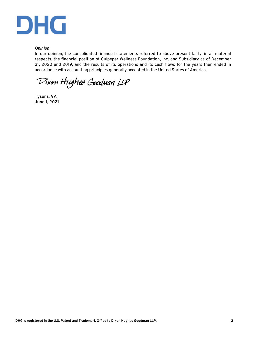

#### *Opinion*

In our opinion, the consolidated financial statements referred to above present fairly, in all material respects, the financial position of Culpeper Wellness Foundation, Inc. and Subsidiary as of December 31, 2020 and 2019, and the results of its operations and its cash flows for the years then ended in accordance with accounting principles generally accepted in the United States of America.

Dixon Hughes Goodman LLP

**Tysons, VA June 1, 2021**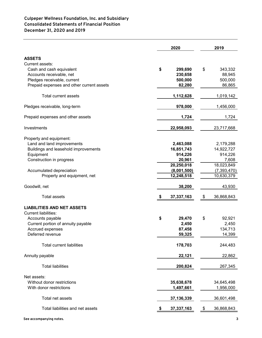# **Culpeper Wellness Foundation, Inc. and Subsidiary Consolidated Statements of Financial Position December 31, 2020 and 2019**

|                                           |    | 2019         |                  |
|-------------------------------------------|----|--------------|------------------|
| <b>ASSETS</b>                             |    |              |                  |
| Current assets:                           |    |              |                  |
| Cash and cash equivalent                  | \$ | 299,690      | \$<br>343,332    |
| Accounts receivable, net                  |    | 230,658      | 88,945           |
| Pledges receivable, current               |    | 500,000      | 500,000          |
| Prepaid expenses and other current assets |    | 82,280       | 86,865           |
|                                           |    |              |                  |
| <b>Total current assets</b>               |    | 1,112,628    | 1,019,142        |
| Pledges receivable, long-term             |    | 978,000      | 1,456,000        |
| Prepaid expenses and other assets         |    | 1,724        | 1,724            |
| Investments                               |    | 22,958,093   | 23,717,668       |
| Property and equipment:                   |    |              |                  |
| Land and land improvements                |    | 2,463,088    | 2,179,288        |
| Buildings and leasehold improvements      |    | 16,851,743   | 14,922,727       |
| Equipment                                 |    | 914,226      | 914,226          |
| Construction in progress                  |    | 20,961       | 7,608            |
|                                           |    | 20,250,018   | 18,023,849       |
| Accumulated depreciation                  |    | (8,001,500)  | (7, 393, 470)    |
| Property and equipment, net               |    | 12,248,518   | 10,630,379       |
| Goodwill, net                             |    | 38,200       | 43,930           |
| <b>Total assets</b>                       | \$ | 37,337,163   | \$<br>36,868,843 |
| <b>LIABILITIES AND NET ASSETS</b>         |    |              |                  |
| <b>Current liabilities:</b>               |    |              |                  |
| Accounts payable                          | \$ | 29,470       | \$<br>92,921     |
| Current portion of annuity payable        |    | 2,450        | 2,450            |
| Accrued expenses                          |    | 87,458       | 134,713          |
| Deferred revenue                          |    | 59,325       | 14,399           |
|                                           |    |              |                  |
| <b>Total current liabilities</b>          |    | 178,703      | 244,483          |
| Annuity payable                           |    | 22,121       | 22,862           |
| <b>Total liabilities</b>                  |    | 200,824      | 267,345          |
| Net assets:                               |    |              |                  |
| Without donor restrictions                |    | 35,638,678   | 34,645,498       |
| With donor restrictions                   |    | 1,497,661    | 1,956,000        |
| Total net assets                          |    | 37, 136, 339 | 36,601,498       |
| Total liabilities and net assets          |    | 37,337,163   | \$<br>36,868,843 |
|                                           |    |              |                  |

**See accompanying notes. 3**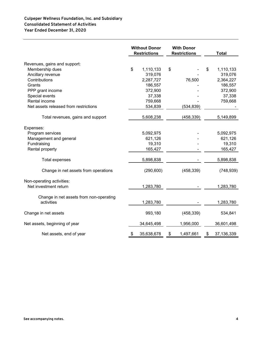# **Culpeper Wellness Foundation, Inc. and Subsidiary Consolidated Statement of Activities Year Ended December 31, 2020**

|                                                       |    | <b>Without Donor</b><br><b>Restrictions</b> |    | <b>With Donor</b><br><b>Restrictions</b> |                  | <b>Total</b> |
|-------------------------------------------------------|----|---------------------------------------------|----|------------------------------------------|------------------|--------------|
| Revenues, gains and support:                          |    |                                             |    |                                          |                  |              |
| Membership dues                                       | \$ | 1,110,133                                   | \$ |                                          | \$<br>1,110,133  |              |
| Ancillary revenue                                     |    | 319,076                                     |    |                                          | 319,076          |              |
| Contributions                                         |    | 2,287,727                                   |    | 76,500                                   | 2,364,227        |              |
| Grants                                                |    | 186,557                                     |    |                                          | 186,557          |              |
| PPP grant income                                      |    | 372,900                                     |    |                                          | 372,900          |              |
| Special events                                        |    | 37,338                                      |    |                                          | 37,338           |              |
| Rental income                                         |    | 759,668                                     |    |                                          | 759,668          |              |
| Net assets released from restrictions                 |    | 534,839                                     |    | (534, 839)                               |                  |              |
| Total revenues, gains and support                     |    | 5,608,238                                   |    | (458, 339)                               | 5,149,899        |              |
| Expenses:                                             |    |                                             |    |                                          |                  |              |
| Program services                                      |    | 5,092,975                                   |    |                                          | 5,092,975        |              |
| Management and general                                |    | 621,126                                     |    |                                          | 621,126          |              |
| Fundraising                                           |    | 19,310                                      |    |                                          | 19,310           |              |
| Rental property                                       |    | 165,427                                     |    |                                          | 165,427          |              |
| Total expenses                                        |    | 5,898,838                                   |    |                                          | 5,898,838        |              |
| Change in net assets from operations                  |    | (290, 600)                                  |    | (458, 339)                               | (748, 939)       |              |
| Non-operating activities:<br>Net investment return    |    | 1,283,780                                   |    |                                          | 1,283,780        |              |
|                                                       |    |                                             |    |                                          |                  |              |
| Change in net assets from non-operating<br>activities |    | 1,283,780                                   |    |                                          | 1,283,780        |              |
| Change in net assets                                  |    | 993,180                                     |    | (458, 339)                               | 534,841          |              |
| Net assets, beginning of year                         |    | 34,645,498                                  |    | 1,956,000                                | 36,601,498       |              |
| Net assets, end of year                               | \$ | 35,638,678                                  | \$ | 1,497,661                                | \$<br>37,136,339 |              |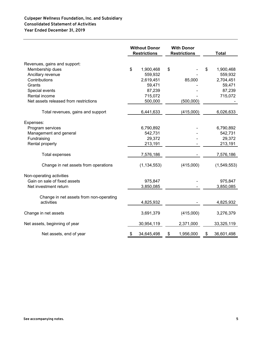# **Year Ended December 31, 2019 Culpeper Wellness Foundation, Inc. and Subsidiary Consolidated Statement of Activities**

|                                         | <b>Without Donor</b><br><b>With Donor</b><br><b>Restrictions</b><br><b>Restrictions</b> |    |           | <b>Total</b> |             |
|-----------------------------------------|-----------------------------------------------------------------------------------------|----|-----------|--------------|-------------|
| Revenues, gains and support:            |                                                                                         |    |           |              |             |
| Membership dues                         | \$<br>1,900,468                                                                         | \$ |           | \$           | 1,900,468   |
| Ancillary revenue                       | 559,932                                                                                 |    |           |              | 559,932     |
| Contributions                           | 2,619,451                                                                               |    | 85,000    |              | 2,704,451   |
| Grants                                  | 59,471                                                                                  |    |           |              | 59,471      |
| Special events                          | 87,239                                                                                  |    |           |              | 87,239      |
| Rental income                           | 715,072                                                                                 |    |           |              | 715,072     |
| Net assets released from restrictions   | 500,000                                                                                 |    | (500,000) |              |             |
| Total revenues, gains and support       | 6,441,633                                                                               |    | (415,000) |              | 6,026,633   |
| Expenses:                               |                                                                                         |    |           |              |             |
| Program services                        | 6,790,892                                                                               |    |           |              | 6,790,892   |
| Management and general                  | 542,731                                                                                 |    |           |              | 542,731     |
| Fundraising                             | 29,372                                                                                  |    |           |              | 29,372      |
| Rental property                         | 213,191                                                                                 |    |           |              | 213,191     |
| <b>Total expenses</b>                   | 7,576,186                                                                               |    |           |              | 7,576,186   |
| Change in net assets from operations    | (1, 134, 553)                                                                           |    | (415,000) |              | (1,549,553) |
| Non-operating activities                |                                                                                         |    |           |              |             |
| Gain on sale of fixed assets            | 975,847                                                                                 |    |           |              | 975,847     |
| Net investment return                   | 3,850,085                                                                               |    |           |              | 3,850,085   |
| Change in net assets from non-operating |                                                                                         |    |           |              |             |
| activities                              | 4,825,932                                                                               |    |           |              | 4,825,932   |
| Change in net assets                    | 3,691,379                                                                               |    | (415,000) |              | 3,276,379   |
| Net assets, beginning of year           | 30,954,119                                                                              |    | 2,371,000 |              | 33,325,119  |
| Net assets, end of year                 | \$<br>34,645,498                                                                        | \$ | 1,956,000 | \$           | 36,601,498  |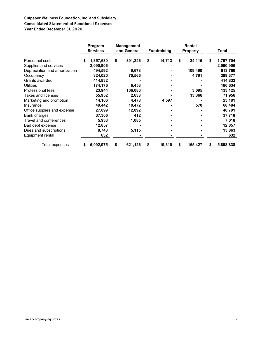## **Culpeper Wellness Foundation, Inc. and Subsidiary Consolidated Statement of Functional Expenses Year Ended December 31, 2020**

|                               |   | Program<br><b>Services</b> |    | <b>Management</b><br>and General |    | <b>Fundraising</b> | Rental<br><b>Property</b> |   | Total     |
|-------------------------------|---|----------------------------|----|----------------------------------|----|--------------------|---------------------------|---|-----------|
| Personnel costs               | S | 1,357,630                  | \$ | 391,246                          | \$ | 14,713             | \$<br>34,115              | S | 1,797,704 |
| Supplies and services         |   | 2,090,906                  |    |                                  |    |                    |                           |   | 2,090,906 |
| Depreciation and amortization |   | 494,592                    |    | 9,678                            |    |                    | 109,490                   |   | 613,760   |
| Occupancy                     |   | 324,020                    |    | 70,566                           |    |                    | 4,791                     |   | 399,377   |
| Grants awarded                |   | 414,832                    |    |                                  |    |                    |                           |   | 414,832   |
| <b>Utilities</b>              |   | 174,176                    |    | 6,458                            |    |                    |                           |   | 180,634   |
| Professional fees             |   | 23,944                     |    | 106,086                          |    |                    | 3,095                     |   | 133,125   |
| Taxes and licenses            |   | 55,952                     |    | 2,638                            |    |                    | 13,366                    |   | 71,956    |
| Marketing and promotion       |   | 14,106                     |    | 4,478                            |    | 4,597              |                           |   | 23,181    |
| Insurance                     |   | 49,442                     |    | 10,472                           |    |                    | 570                       |   | 60,484    |
| Office supplies and expense   |   | 27,899                     |    | 12,892                           |    |                    |                           |   | 40,791    |
| Bank charges                  |   | 37,306                     |    | 412                              |    |                    |                           |   | 37,718    |
| Travel and conferences        |   | 5,933                      |    | 1,085                            |    |                    |                           |   | 7,018     |
| Bad debt expense              |   | 12,857                     |    |                                  |    |                    |                           |   | 12,857    |
| Dues and subscriptions        |   | 8,748                      |    | 5,115                            |    |                    |                           |   | 13,863    |
| Equipment rental              |   | 632                        |    |                                  |    |                    |                           |   | 632       |
| Total expenses                |   | 5,092,975                  | S  | 621,126                          | S  | 19,310             | \$<br>165,427             | S | 5,898,838 |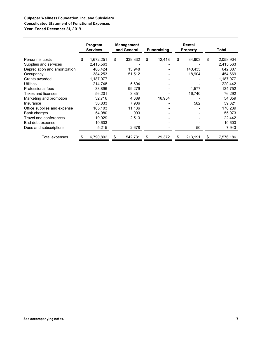#### **Culpeper Wellness Foundation, Inc. and Subsidiary Consolidated Statement of Functional Expenses Year Ended December 31, 2019**

|                               |    | Program<br><b>Services</b> |    | <b>Management</b><br>and General | <b>Fundraising</b> |    | Rental<br><b>Property</b> |    | Total     |
|-------------------------------|----|----------------------------|----|----------------------------------|--------------------|----|---------------------------|----|-----------|
| Personnel costs               | \$ | 1,672,251                  | \$ | 339,332                          | \$<br>12,418       | \$ | 34,903                    | \$ | 2,058,904 |
| Supplies and services         |    | 2,415,563                  |    |                                  |                    |    |                           |    | 2,415,563 |
| Depreciation and amortization |    | 488,424                    |    | 13,948                           |                    |    | 140,435                   |    | 642,807   |
| Occupancy                     |    | 384,253                    |    | 51,512                           |                    |    | 18,904                    |    | 454,669   |
| Grants awarded                |    | 1,187,077                  |    |                                  |                    |    |                           |    | 1,187,077 |
| <b>Utilities</b>              |    | 214,748                    |    | 5,694                            |                    |    |                           |    | 220,442   |
| Professional fees             |    | 33,896                     |    | 99,279                           |                    |    | 1,577                     |    | 134,752   |
| Taxes and licenses            |    | 56,201                     |    | 3,351                            |                    |    | 16,740                    |    | 76,292    |
| Marketing and promotion       |    | 32,716                     |    | 4,389                            | 16,954             |    |                           |    | 54,059    |
| Insurance                     |    | 50,833                     |    | 7,906                            |                    |    | 582                       |    | 59,321    |
| Office supplies and expense   |    | 165,103                    |    | 11,136                           |                    |    |                           |    | 176,239   |
| Bank charges                  |    | 54,080                     |    | 993                              |                    |    |                           |    | 55,073    |
| Travel and conferences        |    | 19,929                     |    | 2,513                            |                    |    |                           |    | 22,442    |
| Bad debt expense              |    | 10,603                     |    |                                  |                    |    |                           |    | 10,603    |
| Dues and subscriptions        |    | 5,215                      |    | 2,678                            |                    |    | 50                        |    | 7,943     |
| Total expenses                | SБ | 6,790,892                  | S  | 542,731                          | \$<br>29,372       | S  | 213,191                   | S  | 7,576,186 |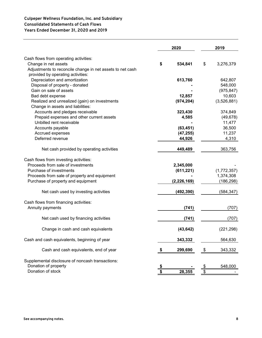# **Culpeper Wellness Foundation, Inc. and Subsidiary Consolidated Statements of Cash Flows Years Ended December 31, 2020 and 2019**

|                                                           | 2020          | 2019            |
|-----------------------------------------------------------|---------------|-----------------|
| Cash flows from operating activities:                     |               |                 |
| Change in net assets                                      | \$<br>534,841 | \$<br>3,276,379 |
| Adjustments to reconcile change in net assets to net cash |               |                 |
| provided by operating activities:                         |               |                 |
| Depreciation and amortization                             | 613,760       | 642,807         |
| Disposal of property - donated                            |               | 548,000         |
| Gain on sale of assets                                    |               | (975, 847)      |
| Bad debt expense                                          | 12,857        | 10,603          |
| Realized and unrealized (gain) on investments             | (974, 204)    | (3,526,881)     |
| Change in assets and liabilities:                         |               |                 |
| Accounts and pledges receivable                           | 323,430       | 374,849         |
| Prepaid expenses and other current assets                 | 4,585         | (49, 678)       |
| Unbilled rent receivable                                  |               | 11,477          |
| Accounts payable                                          | (63, 451)     | 36,500          |
| Accrued expenses                                          | (47, 255)     | 11,237          |
| Deferred revenue                                          | 44,926        | 4,310           |
|                                                           |               |                 |
| Net cash provided by operating activities                 | 449,489       | 363,756         |
| Cash flows from investing activities:                     |               |                 |
| Proceeds from sale of investments                         | 2,345,000     |                 |
| Purchase of investments                                   | (611, 221)    | (1,772,357)     |
| Proceeds from sale of property and equipment              |               | 1,374,308       |
| Purchase of property and equipment                        | (2, 226, 169) | (186, 298)      |
| Net cash used by investing activities                     | (492, 390)    | (584,347)       |
| Cash flows from financing activities:                     |               |                 |
| Annuity payments                                          | (741)         | (707)           |
| Net cash used by financing activities                     | (741)         | (707)           |
| Change in cash and cash equivalents                       | (43, 642)     | (221, 298)      |
| Cash and cash equivalents, beginning of year              | 343,332       | 564,630         |
| Cash and cash equivalents, end of year                    | 299,690       | \$<br>343,332   |
| Supplemental disclosure of noncash transactions:          |               |                 |
| Donation of property                                      |               | \$<br>548,000   |
| Donation of stock                                         | 28,355        | \$              |
|                                                           |               |                 |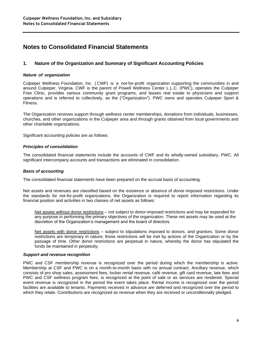# **Notes to Consolidated Financial Statements**

# **1. Nature of the Organization and Summary of Significant Accounting Policies**

#### *Nature of organization*

Culpeper Wellness Foundation, Inc. ( CWF) is a not-for-profit organization supporting the communities in and around Culpeper, Virginia. CWF is the parent of Powell Wellness Center L.L.C. (PWC), operates the Culpeper Free Clinic, provides various community grant programs, and leases real estate to physicians and support operations and is referred to collectively, as the ("Organization"). PWC owns and operates Culpeper Sport & Fitness.

The Organization receives support through wellness center memberships, donations from individuals, businesses, churches, and other organizations in the Culpeper area and through grants obtained from local governments and other charitable organizations.

Significant accounting policies are as follows:

#### *Principles of consolidation*

The consolidated financial statements include the accounts of CWF and its wholly-owned subsidiary, PWC. All significant intercompany accounts and transactions are eliminated in consolidation.

#### *Basis of accounting*

The consolidated financial statements have been prepared on the accrual basis of accounting.

Net assets and revenues are classified based on the existence or absence of donor-imposed restrictions. Under the standards for not-for-profit organizations, the Organization is required to report information regarding its financial position and activities in two classes of net assets as follows:

Net assets without donor restrictions – not subject to donor-imposed restrictions and may be expended for any purpose in performing the primary objectives of the organization. These net assets may be used at the discretion of the Organization's management and the board of directors.

Net assets with donor restrictions – subject to stipulations imposed to donors, and grantors. Some donor restrictions are temporary in nature; those restrictions will be met by actions of the Organization or by the passage of time. Other donor restrictions are perpetual in nature, whereby the donor has stipulated the funds be maintained in perpetuity.

#### *Support and revenue recognition*

PWC and CSF membership revenue is recognized over the period during which the membership is active. Membership at CSF and PWC is on a month-to-month basis with no annual contract. Ancillary revenue, which consists of pro shop sales, assessment fees, locker rental revenue, café revenue, gift card revenue, late fees and PWC and CSF wellness program fees, is recognized at the point of sale or as services are rendered. Special event revenue is recognized in the period the event takes place. Rental income is recognized over the period facilities are available to tenants. Payments received in advance are deferred and recognized over the period to which they relate. Contributions are recognized as revenue when they are received or unconditionally pledged.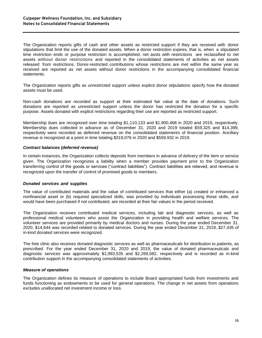The Organization reports gifts of cash and other assets as restricted support if they are received with donor stipulations that limit the use of the donated assets. When a donor restriction expires, that is, when a stipulated time restriction ends or purpose restriction is accomplished, net assts with restrictions are reclassified to net assets without donor restrictions and reported in the consolidated statements of activities as net assets released from restrictions. Donor-restricted contributions whose restrictions are met within the same year as received are reported as net assets without donor restrictions in the accompanying consolidated financial statements.

The Organization reports gifts as unrestricted support unless explicit donor stipulations specify how the donated assets must be used.

Non-cash donations are recorded as support at their estimated fair value at the date of donations. Such donations are reported as unrestricted support unless the donor has restricted the donation for a specific purpose. Assets donated with explicit restrictions regarding their use are reported as restricted support.

Membership dues are recognized over time totaling \$1,110,133 and \$1,900,468 in 2020 and 2019, respectively. Membership dues collected in advance as of December 31, 2020 and 2019 totaled \$59,325 and \$14,399, respectively were recorded as deferred revenue on the consolidated statements of financial position. Ancillary revenue is recognized at a point in time totaling \$319,076 in 2020 and \$559,932 in 2019.

#### *Contract balances (deferred revenue)*

In certain instances, the Organization collects deposits from members in advance of delivery of the item or service given. The Organization recognizes a liability when a member provides payment prior to the Organization transferring control of the goods or services ("contract liabilities"). Contract liabilities are relieved, and revenue is recognized upon the transfer of control of promised goods to members.

#### *Donated services and supplies*

The value of contributed materials and the value of contributed services that either (a) created or enhanced a nonfinancial asset or (b) required specialized skills, was provided by individuals possessing those skills, and would have been purchased if not contributed, are recorded at their fair values in the period received.

The Organization receives contributed medical services, including lab and diagnostic services, as well as professional medical volunteers who assist the Organization in providing health and welfare services. The volunteer services are provided primarily by medical doctors and nurses. During the year ended December 31, 2020, \$14,644 was recorded related to donated services. During the year ended December 31, 2019, \$27,435 of in-kind donated services were recognized.

The free clinic also receives donated diagnostic services as well as pharmaceuticals for distribution to patients, as prescribed. For the year ended December 31, 2020 and 2019, the value of donated pharmaceuticals and diagnostic services was approximately \$1,993,535 and \$2,269,582, respectively and is recorded as in-kind contribution support in the accompanying consolidated statements of activities.

#### *Measure of operations*

The Organization defines its measure of operations to include Board appropriated funds from investments and funds functioning as endowments to be used for general operations. The change in net assets from operations excludes unallocated net investment income or loss.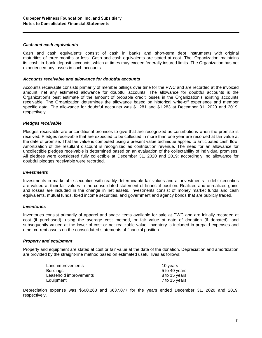#### *Cash and cash equivalents*

Cash and cash equivalents consist of cash in banks and short-term debt instruments with original maturities of three-months or less. Cash and cash equivalents are stated at cost. The Organization maintains its cash in bank deposit accounts, which at times may exceed federally insured limits. The Organization has not experienced any losses in such accounts.

#### *Accounts receivable and allowance for doubtful accounts*

Accounts receivable consists primarily of member billings over time for the PWC and are recorded at the invoiced amount, net any estimated allowance for doubtful accounts. The allowance for doubtful accounts is the Organization's best estimate of the amount of probable credit losses in the Organization's existing accounts receivable. The Organization determines the allowance based on historical write-off experience and member specific data. The allowance for doubtful accounts was \$1,281 and \$1,283 at December 31, 2020 and 2019, respectively.

#### *Pledges receivable*

Pledges receivable are unconditional promises to give that are recognized as contributions when the promise is received. Pledges receivable that are expected to be collected in more than one year are recorded at fair value at the date of promise. That fair value is computed using a present value technique applied to anticipated cash flow. Amortization of the resultant discount is recognized as contribution revenue. The need for an allowance for uncollectible pledges receivable is determined based on an evaluation of the collectability of individual promises. All pledges were considered fully collectible at December 31, 2020 and 2019; accordingly, no allowance for doubtful pledges receivable were recorded.

#### *Investments*

Investments in marketable securities with readily determinable fair values and all investments in debt securities are valued at their fair values in the consolidated statement of financial position. Realized and unrealized gains and losses are included in the change in net assets. Investments consist of money market funds and cash equivalents, mutual funds, fixed income securities, and government and agency bonds that are publicly traded.

#### *Inventories*

Inventories consist primarily of apparel and snack items available for sale at PWC and are initially recorded at cost (if purchased), using the average cost method, or fair value at date of donation (if donated), and subsequently valued at the lower of cost or net realizable value. Inventory is included in prepaid expenses and other current assets on the consolidated statements of financial position.

#### *Property and equipment*

Property and equipment are stated at cost or fair value at the date of the donation. Depreciation and amortization are provided by the straight-line method based on estimated useful lives as follows:

| Land improvements      | 10 years      |
|------------------------|---------------|
| <b>Buildings</b>       | 5 to 40 years |
| Leasehold improvements | 8 to 15 years |
| Equipment              | 7 to 15 years |

Depreciation expense was \$600,263 and \$637,077 for the years ended December 31, 2020 and 2019, respectively.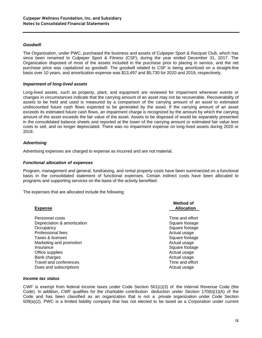#### *Goodwill*

The Organization, under PWC, purchased the business and assets of Culpeper Sport & Racquet Club, which has since been renamed to Culpeper Sport & Fitness (CSF), during the year ended December 31, 2017. The Organization disposed of most of the assets included in the purchase prior to placing in service, and the net purchase price was capitalized as goodwill. The goodwill related to CSF is being amortized on a straight-line basis over 10 years, and amortization expense was \$13,497 and \$5,730 for 2020 and 2019, respectively.

#### *Impairment of long-lived assets*

Long-lived assets, such as property, plant, and equipment are reviewed for impairment whenever events or changes in circumstances indicate that the carrying amount of an asset may not be recoverable. Recoverability of assets to be held and used is measured by a comparison of the carrying amount of an asset to estimated undiscounted future cash flows expected to be generated by the asset. If the carrying amount of an asset exceeds its estimated future cash flows, an impairment charge is recognized by the amount by which the carrying amount of the asset exceeds the fair value of the asset. Assets to be disposed of would be separately presented in the consolidated balance sheets and reported at the lower of the carrying amount or estimated fair value less costs to sell, and no longer depreciated. There was no impairment expense on long-lived assets during 2020 or 2019.

#### *Advertising*

Advertising expenses are charged to expense as incurred and are not material.

#### *Functional allocation of expenses*

Program, management and general, fundraising, and rental property costs have been summarized on a functional basis in the consolidated statement of functional expenses. Certain indirect costs have been allocated to programs and supporting services on the basis of the activity benefited.

The expenses that are allocated include the following:

| <b>Expense</b>                                                                                                                                                                  | <b>Method of</b><br><b>Allocation</b>                                                                                                                                      |
|---------------------------------------------------------------------------------------------------------------------------------------------------------------------------------|----------------------------------------------------------------------------------------------------------------------------------------------------------------------------|
| Personnel costs<br>Depreciation & amortization<br>Occupancy<br>Professional fees<br>Taxes & licenses<br>Marketing and promotion<br>Insurance<br>Office supplies<br>Bank charges | Time and effort<br>Square footage<br>Square footage<br>Actual usage<br>Square footage<br>Actual usage<br>Square footage<br>Actual usage<br>Actual usage<br>Time and effort |
| Travel and conferences<br>Dues and subscriptions                                                                                                                                | Actual usage                                                                                                                                                               |

#### *Income tax status*

CWF is exempt from federal income taxes under Code Section 501(c)(3) of the Internal Revenue Code (the Code). In addition, CWF qualifies for the charitable contribution deduction under Section 170(b)(1)(A) of the Code and has been classified as an organization that is not a private organization under Code Section 509(a)(2). PWC is a limited liability company that has not elected to be taxed as a Corporation under current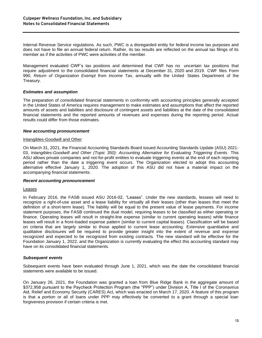Internal Revenue Service regulations. As such, PWC is a disregarded entity for federal income tax purposes and does not have to file an annual federal return. Rather, its tax results are reflected on the annual tax filings of its member as if the activities of PWC were activities of the member.

Management evaluated CWF's tax positions and determined that CWF has no uncertain tax positions that require adjustment to the consolidated financial statements at December 31, 2020 and 2019. CWF files Form 990, *Return of Organization Exempt from Income Tax*, annually with the United States Department of the Treasury.

#### *Estimates and assumption*

The preparation of consolidated financial statements in conformity with accounting principles generally accepted in the United States of America requires management to make estimates and assumptions that affect the reported amounts of assets and liabilities and disclosure of contingent assets and liabilities at the date of the consolidated financial statements and the reported amounts of revenues and expenses during the reporting period. Actual results could differ from those estimates.

#### *New accounting pronouncement*

#### Intangibles-Goodwill and Other

On March 31, 2021, the Financial Accounting Standards Board issued Accounting Standards Update (ASU) 2021- 03, *Intangibles-Goodwill and Other (Topic 350): Accounting Alternative for Evaluating Triggering Events*. This ASU allows private companies and not-for-profit entities to evaluate triggering events at the end of each reporting period rather than the date a triggering event occurs. The Organization elected to adopt this accounting alternative effective January 1, 2020. The adoption of this ASU did not have a material impact on the accompanying financial statements.

#### *Recent accounting pronouncement*

#### Leases

In February 2016, the FASB issued ASU 2016-02, "Leases". Under the new standards, lessees will need to recognize a right-of-use asset and a lease liability for virtually all their leases (other than leases that meet the definition of a short-term lease). The liability will be equal to the present value of lease payments. For income statement purposes, the FASB continued the dual model, requiring leases to be classified as either operating or finance. Operating leases will result in straight-line expense (similar to current operating leases) while finance leases will result in a front-loaded expense pattern (similar to current capital leases). Classification will be based on criteria that are largely similar to those applied to current lease accounting. Extensive quantitative and qualitative disclosures will be required to provide greater insight into the extent of revenue and expense recognized and expected to be recognized from existing contracts. The new standard will be effective for the Foundation January 1, 2022, and the Organization is currently evaluating the effect this accounting standard may have on its consolidated financial statements.

#### *Subsequent events*

Subsequent events have been evaluated through June 1, 2021, which was the date the consolidated financial statements were available to be issued.

On January 26, 2021, the Foundation was granted a loan from Blue Ridge Bank in the aggregate amount of \$372,958 pursuant to the Paycheck Protection Program (the "PPP") under Division A, Title I of the Coronavirus Aid, Relief and Economy Security (CARES) Act, which was enacted on March 17, 2020. A feature of this program is that a portion or all of loans under PPP may effectively be converted to a grant through a special loan forgiveness provision if certain criteria is met.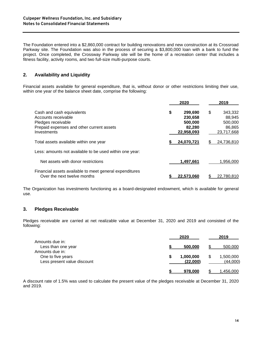The Foundation entered into a \$2,860,000 contract for building renovations and new construction at its Crossroad Parkway site. The Foundation was also in the process of securing a \$3,800,000 loan with a bank to fund the project. Once completed, the Crossway Parkway site will be the home of a recreation center that includes a fitness facility, activity rooms, and two full-size multi-purpose courts.

# **2. Availability and Liquidity**

Financial assets available for general expenditure, that is, without donor or other restrictions limiting their use, within one year of the balance sheet date, comprise the following:

|                                                                                                                                    | 2020                                                        |     | 2019                                                 |
|------------------------------------------------------------------------------------------------------------------------------------|-------------------------------------------------------------|-----|------------------------------------------------------|
| Cash and cash equivalents<br>Accounts receivable<br>Pledges receivable<br>Prepaid expenses and other current assets<br>Investments | \$<br>299,690<br>230.658<br>500,000<br>82,280<br>22,958,093 | \$  | 343,332<br>88,945<br>500,000<br>86,865<br>23,717,668 |
| Total assets available within one year                                                                                             | 24,070,721                                                  | \$. | 24,736,810                                           |
| Less: amounts not available to be used within one year:                                                                            |                                                             |     |                                                      |
| Net assets with donor restrictions                                                                                                 | 1,497,661                                                   |     | 1.956.000                                            |
| Financial assets available to meet general expenditures<br>Over the next twelve months                                             | 22.573.060                                                  |     | 22.780.810                                           |

The Organization has investments functioning as a board-designated endowment, which is available for general use.

#### **3. Pledges Receivable**

Pledges receivable are carried at net realizable value at December 31, 2020 and 2019 and consisted of the following:

|                                                                     | 2020                  | 2019                       |
|---------------------------------------------------------------------|-----------------------|----------------------------|
| Amounts due in:<br>Less than one year                               | 500.000               | 500,000                    |
| Amounts due in:<br>One to five years<br>Less present value discount | 1,000,000<br>(22,000) | 1,500,000<br>S<br>(44,000) |
|                                                                     | 978.000               | 1,456,000                  |

A discount rate of 1.5% was used to calculate the present value of the pledges receivable at December 31, 2020 and 2019.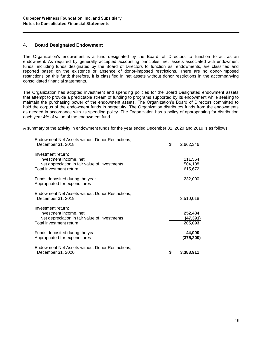#### **4. Board Designated Endowment**

The Organization's endowment is a fund designated by the Board of Directors to function to act as an endowment. As required by generally accepted accounting principles, net assets associated with endowment funds, including funds designated by the Board of Directors to function as endowments, are classified and reported based on the existence or absence of donor-imposed restrictions. There are no donor-imposed restrictions on this fund; therefore, it is classified in net assets without donor restrictions in the accompanying consolidated financial statements.

The Organization has adopted investment and spending policies for the Board Designated endowment assets that attempt to provide a predictable stream of funding to programs supported by its endowment while seeking to maintain the purchasing power of the endowment assets. The Organization's Board of Directors committed to hold the corpus of the endowment funds in perpetuity. The Organization distributes funds from the endowments as needed in accordance with its spending policy. The Organization has a policy of appropriating for distribution each year 4% of value of the endowment fund.

A summary of the activity in endowment funds for the year ended December 31, 2020 and 2019 is as follows:

| Endowment Net Assets without Donor Restrictions,<br>December 31, 2018                                                    | \$<br>2,662,346                 |
|--------------------------------------------------------------------------------------------------------------------------|---------------------------------|
| Investment return:<br>Investment income, net<br>Net appreciation in fair value of investments<br>Total investment return | 111,564<br>504,108<br>615,672   |
| Funds deposited during the year<br>Appropriated for expenditures                                                         | 232,000                         |
| Endowment Net Assets without Donor Restrictions,<br>December 31, 2019                                                    | 3,510,018                       |
| Investment return:<br>Investment income, net<br>Net depreciation in fair value of investments<br>Total investment return | 252,484<br>(47, 391)<br>205,093 |
| Funds deposited during the year<br>Appropriated for expenditures                                                         | 44,000<br><u>(375,200)</u>      |
| Endowment Net Assets without Donor Restrictions,<br>December 31, 2020                                                    | 3.383.                          |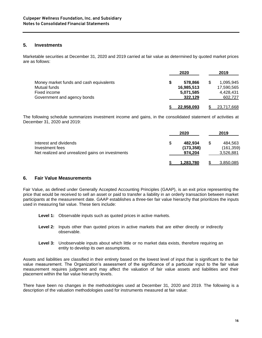#### **5. Investments**

Marketable securities at December 31, 2020 and 2019 carried at fair value as determined by quoted market prices are as follows:

|                                         | 2020 |                   | 2019            |
|-----------------------------------------|------|-------------------|-----------------|
| Money market funds and cash equivalents |      | 578.866           | \$<br>1.095.945 |
| Mutual funds                            |      | 16,985,513        | 17,590,565      |
| Fixed income                            |      | 5,071,585         | 4.428.431       |
| Government and agency bonds             |      | 322,129           | 602,727         |
|                                         |      | <u>22.958.093</u> | 23,717,668      |

The following schedule summarizes investment income and gains, in the consolidated statement of activities at December 31, 2020 and 2019:

|                                                                                               |   | 2020                             | 2019                               |
|-----------------------------------------------------------------------------------------------|---|----------------------------------|------------------------------------|
| Interest and dividends<br>Investment fees<br>Net realized and unrealized gains on investments | S | 482.934<br>(173, 358)<br>974.204 | 484.563<br>(161, 359)<br>3,526,881 |
|                                                                                               |   | 1.283.780                        | 3,850,085                          |

#### **6. Fair Value Measurements**

Fair Value, as defined under Generally Accepted Accounting Principles (GAAP), is an exit price representing the price that would be received to sell an asset or paid to transfer a liability in an orderly transaction between market participants at the measurement date. GAAP establishes a three-tier fair value hierarchy that prioritizes the inputs used in measuring fair value. These tiers include:

- **Level 1:** Observable inputs such as quoted prices in active markets.
- **Level 2:** Inputs other than quoted prices in active markets that are either directly or indirectly observable.
- Level 3: Unobservable inputs about which little or no market data exists, therefore requiring an entity to develop its own assumptions.

Assets and liabilities are classified in their entirety based on the lowest level of input that is significant to the fair value measurement. The Organization's assessment of the significance of a particular input to the fair value measurement requires judgment and may affect the valuation of fair value assets and liabilities and their placement within the fair value hierarchy levels.

There have been no changes in the methodologies used at December 31, 2020 and 2019. The following is a description of the valuation methodologies used for instruments measured at fair value: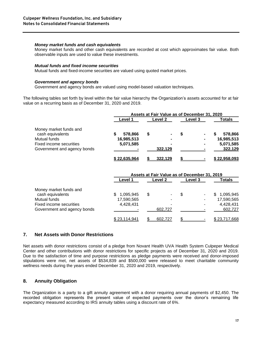#### *Money market funds and cash equivalents*

Money market funds and other cash equivalents are recorded at cost which approximates fair value. Both observable inputs are used to value these investments.

#### *Mutual funds and fixed income securities*

Mutual funds and fixed-income securities are valued using quoted market prices.

#### *Government and agency bonds*

Government and agency bonds are valued using model-based valuation techniques.

The following tables set forth by level within the fair value hierarchy the Organization's assets accounted for at fair value on a recurring basis as of December 31, 2020 and 2019.

|                             | Assets at Fair Value as of December 31, 2020 |              |   |         |   |                |  |              |
|-----------------------------|----------------------------------------------|--------------|---|---------|---|----------------|--|--------------|
|                             |                                              | Level 1      |   | Level 2 |   | <b>Level 3</b> |  | Totals       |
| Money market funds and      |                                              |              |   |         |   |                |  |              |
| cash equivalents            |                                              | 578,866      | S |         | S |                |  | 578,866      |
| Mutual funds                |                                              | 16,985,513   |   |         |   | ۰              |  | 16,985,513   |
| Fixed income securities     |                                              | 5,071,585    |   |         |   |                |  | 5,071,585    |
| Government and agency bonds |                                              |              |   | 322,129 |   |                |  | 322,129      |
|                             |                                              | \$22.635.964 |   | 322.129 |   |                |  | \$22,958,093 |

|                             | Assets at Fair Value as of December 31, 2019 |         |         |                  |  |
|-----------------------------|----------------------------------------------|---------|---------|------------------|--|
|                             | Level 1                                      | Level 2 | Level 3 | Totals           |  |
| Money market funds and      |                                              |         |         |                  |  |
| cash equivalents            | 1,095,945<br>S                               | S       | S       | 1,095,945<br>\$. |  |
| Mutual funds                | 17,590,565                                   |         |         | 17,590,565       |  |
| Fixed income securities     | 4,428,431                                    |         |         | 4,428,431        |  |
| Government and agency bonds |                                              | 602.727 |         | 602,727          |  |
|                             | \$23,114,941                                 | 602,727 |         | \$23,717,668     |  |

#### **7. Net Assets with Donor Restrictions**

Net assets with donor restrictions consist of a pledge from Novant Health UVA Health System Culpeper Medical Center and other contributions with donor restrictions for specific projects as of December 31, 2020 and 2019. Due to the satisfaction of time and purpose restrictions as pledge payments were received and donor-imposed stipulations were met, net assets of \$534,839 and \$500,000 were released to meet charitable community wellness needs during the years ended December 31, 2020 and 2019, respectively.

## **8. Annuity Obligation**

The Organization is a party to a gift annuity agreement with a donor requiring annual payments of \$2,450. The recorded obligation represents the present value of expected payments over the donor's remaining life expectancy measured according to IRS annuity tables using a discount rate of 6%.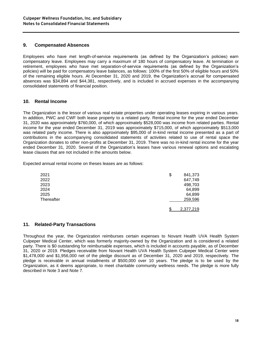#### **9. Compensated Absences**

Employees who have met length-of-service requirements (as defined by the Organization's policies) earn compensatory leave. Employees may carry a maximum of 180 hours of compensatory leave. At termination or retirement, employees who have met separation-of-service requirements (as defined by the Organization's policies) will be paid for compensatory leave balances, as follows: 100% of the first 50% of eligible hours and 50% of the remaining eligible hours. At December 31, 2020 and 2019, the Organization's accrual for compensated absences was \$34,894 and \$44,381, respectively, and is included in accrued expenses in the accompanying consolidated statements of financial position.

## **10. Rental Income**

The Organization is the lessor of various real estate properties under operating leases expiring in various years. In addition, PWC and CWF both lease property to a related party. Rental income for the year ended December 31, 2020 was approximately \$760,000, of which approximately \$528,000 was income from related parties. Rental income for the year ended December 31, 2019 was approximately \$715,000, of which approximately \$513,000 was related party income. There is also approximately \$95,000 of in-kind rental income presented as a part of contributions in the accompanying consolidated statements of activities related to use of rental space the Organization donates to other non-profits at December 31, 2019. There was no in-kind rental income for the year ended December 31, 2020. Several of the Organization's leases have various renewal options and escalating lease clauses that are not included in the amounts below.

Expected annual rental income on theses leases are as follows:

| 2021       | \$<br>841,373 |  |
|------------|---------------|--|
| 2022       | 647,749       |  |
| 2023       | 498,703       |  |
| 2024       | 64,899        |  |
| 2025       | 64,899        |  |
| Thereafter | 259,596       |  |
|            | 2,377,219     |  |

#### **11. Related-Party Transactions**

Throughout the year, the Organization reimburses certain expenses to Novant Health UVA Health System Culpeper Medical Center, which was formerly majority-owned by the Organization and is considered a related party. There is \$0 outstanding for reimbursable expenses, which is included in accounts payable, as of December 31, 2020 or 2019. Pledges receivable from Novant Health UVA Health System Culpeper Medical Center were \$1,478,000 and \$1,956,000 net of the pledge discount as of December 31, 2020 and 2019, respectively. The pledge is receivable in annual installments of \$500,000 over 10 years. The pledge is to be used by the Organization, as it deems appropriate, to meet charitable community wellness needs. The pledge is more fully described in Note 3 and Note 7.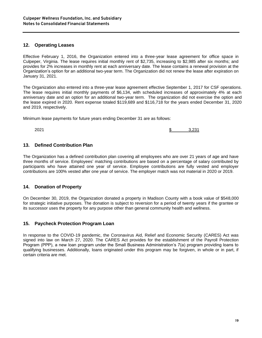#### **12. Operating Leases**

Effective February 1, 2016, the Organization entered into a three-year lease agreement for office space in Culpeper, Virginia. The lease requires initial monthly rent of \$2,735, increasing to \$2,985 after six months; and provides for 2% increases in monthly rent at each anniversary date. The lease contains a renewal provision at the Organization's option for an additional two-year term. The Organization did not renew the lease after expiration on January 31, 2021.

The Organization also entered into a three-year lease agreement effective September 1, 2017 for CSF operations. The lease requires initial monthly payments of \$6,134, with scheduled increases of approximately 4% at each anniversary date and an option for an additional two-year term. The organization did not exercise the option and the lease expired in 2020. Rent expense totaled \$119,689 and \$116,718 for the years ended December 31, 2020 and 2019, respectively.

Minimum lease payments for future years ending December 31 are as follows:

2021 **\$** 3,231

#### **13. Defined Contribution Plan**

The Organization has a defined contribution plan covering all employees who are over 21 years of age and have three months of service. Employees' matching contributions are based on a percentage of salary contributed by participants who have attained one year of service. Employee contributions are fully vested and employer contributions are 100% vested after one year of service. The employer match was not material in 2020 or 2019.

#### **14. Donation of Property**

On December 30, 2019, the Organization donated a property in Madison County with a book value of \$548,000 for strategic initiative purposes. The donation is subject to reversion for a period of twenty years if the grantee or its successor uses the property for any purpose other than general community health and wellness.

#### **15. Paycheck Protection Program Loan**

In response to the COVID-19 pandemic, the Coronavirus Aid, Relief and Economic Security (CARES) Act was signed into law on March 27, 2020. The CARES Act provides for the establishment of the Payroll Protection Program (PPP), a new loan program under the Small Business Administration's 7(a) program providing loans to qualifying businesses. Additionally, loans originated under this program may be forgiven, in whole or in part, if certain criteria are met.